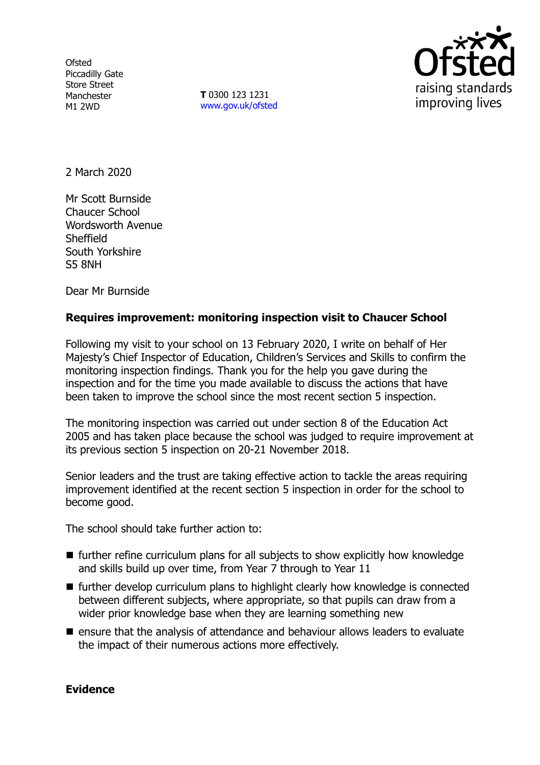**Ofsted** Piccadilly Gate Store Street Manchester M1 2WD

**T** 0300 123 1231 [www.gov.uk/ofsted](http://www.gov.uk/ofsted)



2 March 2020

Mr Scott Burnside Chaucer School Wordsworth Avenue Sheffield South Yorkshire S5 8NH

Dear Mr Burnside

# **Requires improvement: monitoring inspection visit to Chaucer School**

Following my visit to your school on 13 February 2020, I write on behalf of Her Majesty's Chief Inspector of Education, Children's Services and Skills to confirm the monitoring inspection findings. Thank you for the help you gave during the inspection and for the time you made available to discuss the actions that have been taken to improve the school since the most recent section 5 inspection.

The monitoring inspection was carried out under section 8 of the Education Act 2005 and has taken place because the school was judged to require improvement at its previous section 5 inspection on 20-21 November 2018.

Senior leaders and the trust are taking effective action to tackle the areas requiring improvement identified at the recent section 5 inspection in order for the school to become good.

The school should take further action to:

- further refine curriculum plans for all subjects to show explicitly how knowledge and skills build up over time, from Year 7 through to Year 11
- $\blacksquare$  further develop curriculum plans to highlight clearly how knowledge is connected between different subjects, where appropriate, so that pupils can draw from a wider prior knowledge base when they are learning something new
- ensure that the analysis of attendance and behaviour allows leaders to evaluate the impact of their numerous actions more effectively.

## **Evidence**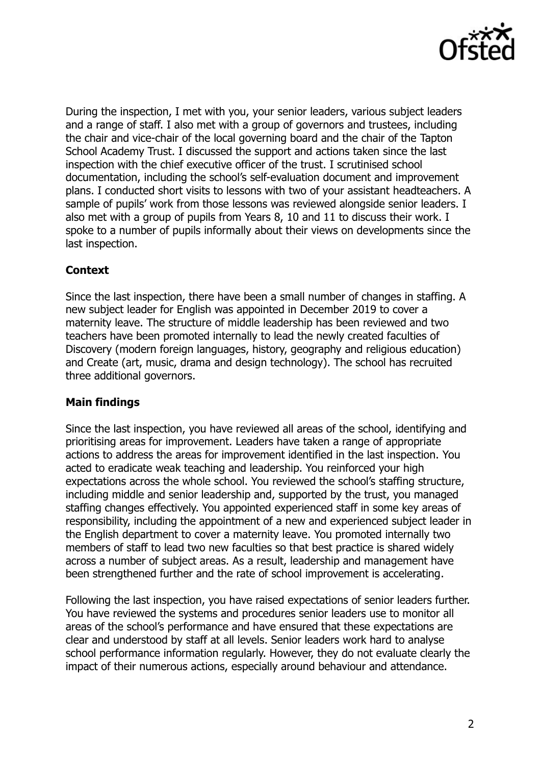

During the inspection, I met with you, your senior leaders, various subject leaders and a range of staff. I also met with a group of governors and trustees, including the chair and vice-chair of the local governing board and the chair of the Tapton School Academy Trust. I discussed the support and actions taken since the last inspection with the chief executive officer of the trust. I scrutinised school documentation, including the school's self-evaluation document and improvement plans. I conducted short visits to lessons with two of your assistant headteachers. A sample of pupils' work from those lessons was reviewed alongside senior leaders. I also met with a group of pupils from Years 8, 10 and 11 to discuss their work. I spoke to a number of pupils informally about their views on developments since the last inspection.

# **Context**

Since the last inspection, there have been a small number of changes in staffing. A new subject leader for English was appointed in December 2019 to cover a maternity leave. The structure of middle leadership has been reviewed and two teachers have been promoted internally to lead the newly created faculties of Discovery (modern foreign languages, history, geography and religious education) and Create (art, music, drama and design technology). The school has recruited three additional governors.

# **Main findings**

Since the last inspection, you have reviewed all areas of the school, identifying and prioritising areas for improvement. Leaders have taken a range of appropriate actions to address the areas for improvement identified in the last inspection. You acted to eradicate weak teaching and leadership. You reinforced your high expectations across the whole school. You reviewed the school's staffing structure, including middle and senior leadership and, supported by the trust, you managed staffing changes effectively. You appointed experienced staff in some key areas of responsibility, including the appointment of a new and experienced subject leader in the English department to cover a maternity leave. You promoted internally two members of staff to lead two new faculties so that best practice is shared widely across a number of subject areas. As a result, leadership and management have been strengthened further and the rate of school improvement is accelerating.

Following the last inspection, you have raised expectations of senior leaders further. You have reviewed the systems and procedures senior leaders use to monitor all areas of the school's performance and have ensured that these expectations are clear and understood by staff at all levels. Senior leaders work hard to analyse school performance information regularly. However, they do not evaluate clearly the impact of their numerous actions, especially around behaviour and attendance.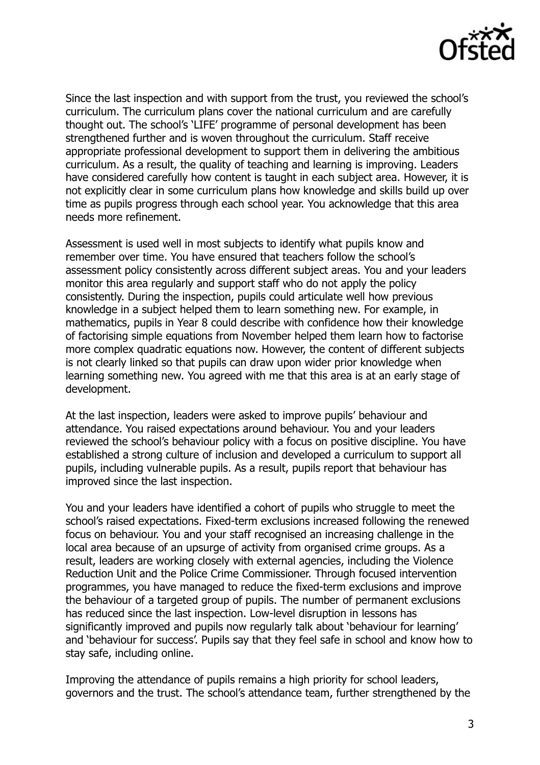

Since the last inspection and with support from the trust, you reviewed the school's curriculum. The curriculum plans cover the national curriculum and are carefully thought out. The school's 'LIFE' programme of personal development has been strengthened further and is woven throughout the curriculum. Staff receive appropriate professional development to support them in delivering the ambitious curriculum. As a result, the quality of teaching and learning is improving. Leaders have considered carefully how content is taught in each subject area. However, it is not explicitly clear in some curriculum plans how knowledge and skills build up over time as pupils progress through each school year. You acknowledge that this area needs more refinement.

Assessment is used well in most subjects to identify what pupils know and remember over time. You have ensured that teachers follow the school's assessment policy consistently across different subject areas. You and your leaders monitor this area regularly and support staff who do not apply the policy consistently. During the inspection, pupils could articulate well how previous knowledge in a subject helped them to learn something new. For example, in mathematics, pupils in Year 8 could describe with confidence how their knowledge of factorising simple equations from November helped them learn how to factorise more complex quadratic equations now. However, the content of different subjects is not clearly linked so that pupils can draw upon wider prior knowledge when learning something new. You agreed with me that this area is at an early stage of development.

At the last inspection, leaders were asked to improve pupils' behaviour and attendance. You raised expectations around behaviour. You and your leaders reviewed the school's behaviour policy with a focus on positive discipline. You have established a strong culture of inclusion and developed a curriculum to support all pupils, including vulnerable pupils. As a result, pupils report that behaviour has improved since the last inspection.

You and your leaders have identified a cohort of pupils who struggle to meet the school's raised expectations. Fixed-term exclusions increased following the renewed focus on behaviour. You and your staff recognised an increasing challenge in the local area because of an upsurge of activity from organised crime groups. As a result, leaders are working closely with external agencies, including the Violence Reduction Unit and the Police Crime Commissioner. Through focused intervention programmes, you have managed to reduce the fixed-term exclusions and improve the behaviour of a targeted group of pupils. The number of permanent exclusions has reduced since the last inspection. Low-level disruption in lessons has significantly improved and pupils now regularly talk about 'behaviour for learning' and 'behaviour for success'. Pupils say that they feel safe in school and know how to stay safe, including online.

Improving the attendance of pupils remains a high priority for school leaders, governors and the trust. The school's attendance team, further strengthened by the